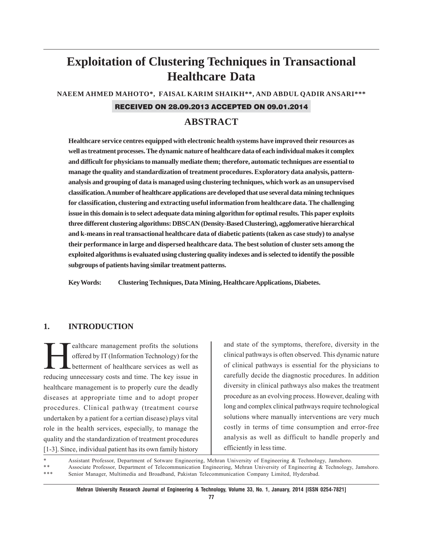# **Exploitation of Clustering Techniques in Transactional Healthcare Data**

**NAEEM AHMED MAHOTO\*, FAISAL KARIM SHAIKH\*\*, AND ABDUL QADIR ANSARI\*\*\***

#### RECEIVED ON 28.09.2013 ACCEPTED ON 09.01.2014

# **ABSTRACT**

**Healthcare service centres equipped with electronic health systems have improved their resources as well as treatment processes. The dynamic nature of healthcare data of each individual makes it complex and difficult for physicians to manually mediate them; therefore, automatic techniques are essential to manage the quality and standardization of treatment procedures. Exploratory data analysis, patternanalysis and grouping of data is managed using clustering techniques, which work as an unsupervised classification. A number of healthcare applications are developed that use several data mining techniques for classification, clustering and extracting useful information from healthcare data. The challenging issue in this domain is to select adequate data mining algorithm for optimal results. This paper exploits three different clustering algorithms: DBSCAN (Density-Based Clustering), agglomerative hierarchical and k-means in real transactional healthcare data of diabetic patients (taken as case study) to analyse their performance in large and dispersed healthcare data. The best solution of cluster sets among the exploited algorithms is evaluated using clustering quality indexes and is selected to identify the possible subgroups of patients having similar treatment patterns.**

**Key Words: Clustering Techniques, Data Mining, Healthcare Applications, Diabetes.**

### **1. INTRODUCTION**

Examples and the solutions offered by IT (Information Technology) for the betterment of healthcare services as well as offered by IT (Information Technology) for the betterment of healthcare services as well as reducing unnecessary costs and time. The key issue in healthcare management is to properly cure the deadly diseases at appropriate time and to adopt proper procedures. Clinical pathway (treatment course undertaken by a patient for a certian disease) plays vital role in the health services, especially, to manage the quality and the standardization of treatment procedures [1-3]. Since, individual patient has its own family history

and state of the symptoms, therefore, diversity in the clinical pathways is often observed. This dynamic nature of clinical pathways is essential for the physicians to carefully decide the diagnostic procedures. In addition diversity in clinical pathways also makes the treatment procedure as an evolving process. However, dealing with long and complex clinical pathways require technological solutions where manually interventions are very much costly in terms of time consumption and error-free analysis as well as difficult to handle properly and efficiently in less time.

Assistant Professor, Department of Sotware Engineering, Mehran University of Engineering & Technology, Jamshoro.

\*\* Associate Professor, Department of Telecommunication Engineering, Mehran University of Engineering & Technology, Jamshoro.<br>\*\*\* Senior Manager Multimedia and Broadband Pakistan Telecommunication Company Limited Hyderabed \*\*\* Senior Manager, Multimedia and Broadband, Pakistan Telecommunication Company Limited, Hyderabad.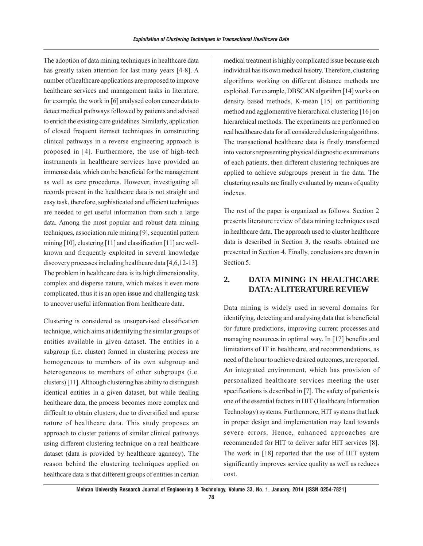The adoption of data mining techniques in healthcare data has greatly taken attention for last many years [4-8]. A number of healthcare applications are proposed to improve healthcare services and management tasks in literature, for example, the work in [6] analysed colon cancer data to detect medical pathways followed by patients and advised to enrich the existing care guidelines. Similarly, application of closed frequent itemset techniques in constructing clinical pathways in a reverse engineering approach is proposed in [4]. Furthermore, the use of high-tech instruments in healthcare services have provided an immense data, which can be beneficial for the management as well as care procedures. However, investigating all records present in the healthcare data is not straight and easy task, therefore, sophisticated and efficient techniques are needed to get useful information from such a large data. Among the most popular and robust data mining techniques, association rule mining [9], sequential pattern mining [10], clustering [11] and classification [11] are wellknown and frequently exploited in several knowledge discovery processes including healthcare data [4,6,12-13]. The problem in healthcare data is its high dimensionality, complex and disperse nature, which makes it even more complicated, thus it is an open issue and challenging task to uncover useful information from healthcare data.

Clustering is considered as unsupervised classification technique, which aims at identifying the similar groups of entities available in given dataset. The entities in a subgroup (i.e. cluster) formed in clustering process are homogeneous to members of its own subgroup and heterogeneous to members of other subgroups (i.e. clusters) [11]. Although clustering has ability to distinguish identical entities in a given dataset, but while dealing healthcare data, the process becomes more complex and difficult to obtain clusters, due to diversified and sparse nature of healthcare data. This study proposes an approach to cluster patients of similar clinical pathways using different clustering technique on a real healthcare dataset (data is provided by healthcare aganecy). The reason behind the clustering techniques applied on healthcare data is that different groups of entities in certian

medical treatment is highly complicated issue because each individual has its own medical hisotry. Therefore, clustering algorithms working on different distance methods are exploited. For example, DBSCAN algorithm [14] works on density based methods, K-mean [15] on partitioning method and agglomerative hierarchical clustering [16] on hierarchical methods. The experiments are performed on real healthcare data for all considered clustering algorithms. The transactional healthcare data is firstly transformed into vectors representing physical diagnostic examinations of each patients, then different clustering techniques are applied to achieve subgroups present in the data. The clustering results are finally evaluated by means of quality indexes.

The rest of the paper is organized as follows. Section 2 presents literature review of data mining techniques used in healthcare data. The approach used to cluster healthcare data is described in Section 3, the results obtained are presented in Section 4. Finally, conclusions are drawn in Section 5.

## **2. DATA MINING IN HEALTHCARE DATA: A LITERATURE REVIEW**

Data mining is widely used in several domains for identifying, detecting and analysing data that is beneficial for future predictions, improving current processes and managing resources in optimal way. In [17] benefits and limitations of IT in healthcare, and recommendations, as need of the hour to achieve desired outcomes, are reported. An integrated environment, which has provision of personalized healthcare services meeting the user specifications is described in [7]. The safety of patients is one of the essential factors in HIT (Healthcare Information Technology) systems. Furthermore, HIT systems that lack in proper design and implementation may lead towards severe errors. Hence, enhanced approaches are recommended for HIT to deliver safer HIT services [8]. The work in [18] reported that the use of HIT system significantly improves service quality as well as reduces cost.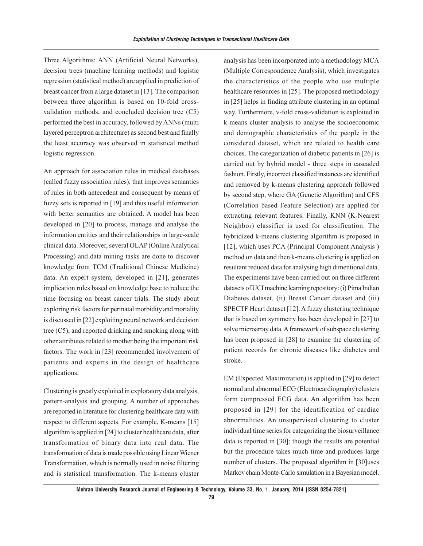Three Algorithms: ANN (Artificial Neural Networks), decision trees (machine learning methods) and logistic regression (statistical method) are applied in prediction of breast cancer from a large dataset in [13]. The comparison between three algorithm is based on 10-fold crossvalidation methods, and concluded decision tree (C5) performed the best in accuracy, followed by ANNs (multi layered perceptron architecture) as second best and finally the least accuracy was observed in statistical method logistic regression.

An approach for association rules in medical databases (called fuzzy association rules), that improves semantics of rules in both antecedent and consequent by means of fuzzy sets is reported in [19] and thus useful information with better semantics are obtained. A model has been developed in [20] to process, manage and analyse the information entities and their relationships in large-scale clinical data. Moreover, several OLAP (Online Analytical Processing) and data mining tasks are done to discover knowledge from TCM (Traditional Chinese Medicine) data. An expert system, developed in [21], generates implication rules based on knowledge base to reduce the time focusing on breast cancer trials. The study about exploring risk factors for perinatal morbidity and mortality is discussed in [22] exploiting neural network and decision tree (C5), and reported drinking and smoking along with other attributes related to mother being the important risk factors. The work in [23] recommended involvement of patients and experts in the design of healthcare applications.

Clustering is greatly exploited in exploratory data analysis, pattern-analysis and grouping. A number of approaches are reported in literature for clustering healthcare data with respect to different aspects. For example, K-means [15] algorithm is applied in [24] to cluster healthcare data, after transformation of binary data into real data. The transformation of data is made possible using Linear Wiener Transformation, which is normally used in noise filtering and is statistical transformation. The k-means cluster analysis has been incorporated into a methodology MCA (Multiple Correspondence Analysis), which investigates the characteristics of the people who use multiple healthcare resources in [25]. The proposed methodology in [25] helps in finding attribute clustering in an optimal way. Furthermore, v-fold cross-validation is exploited in k-means cluster analysis to analyse the socioeconomic and demographic characteristics of the people in the considered dataset, which are related to health care choices. The categorization of diabetic patients in [26] is carried out by hybrid model - three steps in cascaded fashion. Firstly, incorrect classified instances are identified and removed by k-means clustering approach followed by second step, where GA (Genetic Algorithm) and CFS (Correlation based Feature Selection) are applied for extracting relevant features. Finally, KNN (K-Nearest Neighbor) classifier is used for classification. The hybridized k-means clustering algorithm is proposed in [12], which uses PCA (Principal Component Analysis) method on data and then k-means clustering is applied on resultant reduced data for analysing high dimentional data. The experiments have been carried out on three different datasets of UCI machine learning repository: (i) Pima Indian Diabetes dataset, (ii) Breast Cancer dataset and (iii) SPECTF Heart dataset [12]. A fuzzy clustering technique that is based on symmetry has been developed in [27] to solve microarray data. A framework of subspace clustering has been proposed in [28] to examine the clustering of patient records for chronic diseases like diabetes and stroke.

EM (Expected Maximization) is applied in [29] to detect normal and abnormal ECG (Electrocardiography) clusters form compressed ECG data. An algorithm has been proposed in [29] for the identification of cardiac abnormalities. An unsupervised clustering to cluster individual time series for categorizing the biosurveillance data is reported in [30]; though the results are potential but the procedure takes much time and produces large number of clusters. The proposed algorithm in [30]uses Markov chain Monte-Carlo simulation in a Bayesian model.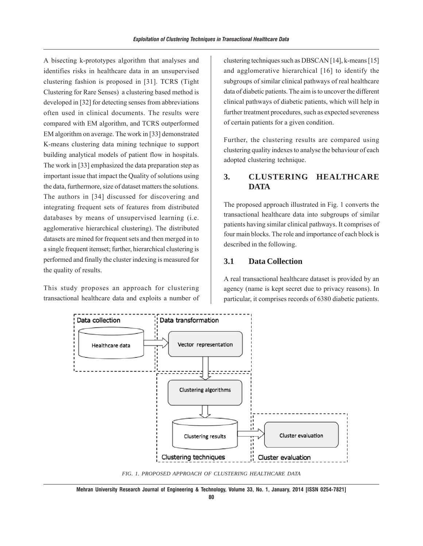A bisecting k-prototypes algorithm that analyses and identifies risks in healthcare data in an unsupervised clustering fashion is proposed in [31]. TCRS (Tight Clustering for Rare Senses) a clustering based method is developed in [32] for detecting senses from abbreviations often used in clinical documents. The results were compared with EM algorithm, and TCRS outperformed EM algorithm on average. The work in [33] demonstrated K-means clustering data mining technique to support building analytical models of patient flow in hospitals. The work in [33] emphasized the data preparation step as important issue that impact the Quality of solutions using the data, furthermore, size of dataset matters the solutions. The authors in [34] discussed for discovering and integrating frequent sets of features from distributed databases by means of unsupervised learning (i.e. agglomerative hierarchical clustering). The distributed datasets are mined for frequent sets and then merged in to a single frequent itemset; further, hierarchical clustering is performed and finally the cluster indexing is measured for the quality of results.

This study proposes an approach for clustering transactional healthcare data and exploits a number of clustering techniques such as DBSCAN [14], k-means [15] and agglomerative hierarchical [16] to identify the subgroups of similar clinical pathways of real healthcare data of diabetic patients. The aim is to uncover the different clinical pathways of diabetic patients, which will help in further treatment procedures, such as expected severeness of certain patients for a given condition.

Further, the clustering results are compared using clustering quality indexes to analyse the behaviour of each adopted clustering technique.

## **3. CLUSTERING HEALTHCARE DATA**

The proposed approach illustrated in Fig. 1 converts the transactional healthcare data into subgroups of similar patients having similar clinical pathways. It comprises of four main blocks. The role and importance of each block is described in the following.

#### **3.1 Data Collection**

A real transactional healthcare dataset is provided by an agency (name is kept secret due to privacy reasons). In particular, it comprises records of 6380 diabetic patients.



*FIG. 1. PROPOSED APPROACH OF CLUSTERING HEALTHCARE DATA*

**Mehran University Research Journal of Engineering & Technology, Volume 33, No. 1, January, 2014 [ISSN 0254-7821]**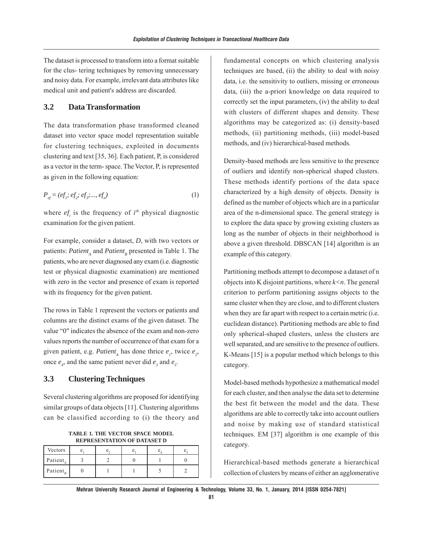The dataset is processed to transform into a format suitable for the clus- tering techniques by removing unnecessary and noisy data. For example, irrelevant data attributes like medical unit and patient's address are discarded.

## **3.2 Data Transformation**

The data transformation phase transformed cleaned dataset into vector space model representation suitable for clustering techniques, exploited in documents clustering and text [35, 36]. Each patient, P, is considered as a vector in the term- space. The Vector, P, is represented as given in the following equation:

$$
P_{ef} = (ef_1; ef_2; ef_3; ..., ef_n)
$$
 (1)

where  $ef_i$  is the frequency of  $i<sup>th</sup>$  physical diagnostic examination for the given patient.

For example, consider a dataset, *D*, with two vectors or patients: *Patient*<sub>A</sub> and *Patient*<sub>B</sub> presented in Table 1. The patients, who are never diagnosed any exam (i.e. diagnostic test or physical diagnostic examination) are mentioned with zero in the vector and presence of exam is reported with its frequency for the given patient.

The rows in Table 1 represent the vectors or patients and columns are the distinct exams of the given dataset. The value "0" indicates the absence of the exam and non-zero values reports the number of occurrence of that exam for a given patient, e.g. *Patient*<sub>A</sub> has done thrice  $e_1$ , twice  $e_2$ , once  $e_4$ , and the same patient never did  $e_3$  and  $e_5$ .

## **3.3 Clustering Techniques**

Several clustering algorithms are proposed for identifying similar groups of data objects [11]. Clustering algorithms can be classified according to (i) the theory and

| TABLE 1. THE VECTOR SPACE MODEL |                             |  |
|---------------------------------|-----------------------------|--|
|                                 | REPRESENTATION OF DATASET D |  |

| Vectors                           | e | e | e |  |
|-----------------------------------|---|---|---|--|
| Patient.                          |   |   |   |  |
| Patient <sub><math>R</math></sub> |   |   |   |  |

fundamental concepts on which clustering analysis techniques are based, (ii) the ability to deal with noisy data, i.e. the sensitivity to outliers, missing or erroneous data, (iii) the a-priori knowledge on data required to correctly set the input parameters, (iv) the ability to deal with clusters of different shapes and density. These algorithms may be categorized as: (i) density-based methods, (ii) partitioning methods, (iii) model-based methods, and (iv) hierarchical-based methods.

Density-based methods are less sensitive to the presence of outliers and identify non-spherical shaped clusters. These methods identify portions of the data space characterized by a high density of objects. Density is defined as the number of objects which are in a particular area of the n-dimensional space. The general strategy is to explore the data space by growing existing clusters as long as the number of objects in their neighborhood is above a given threshold. DBSCAN [14] algorithm is an example of this category.

Partitioning methods attempt to decompose a dataset of n objects into K disjoint partitions, where *k<n*. The general criterion to perform partitioning assigns objects to the same cluster when they are close, and to different clusters when they are far apart with respect to a certain metric (i.e. euclidean distance). Partitioning methods are able to find only spherical-shaped clusters, unless the clusters are well separated, and are sensitive to the presence of outliers. K-Means [15] is a popular method which belongs to this category.

Model-based methods hypothesize a mathematical model for each cluster, and then analyse the data set to determine the best fit between the model and the data. These algorithms are able to correctly take into account outliers and noise by making use of standard statistical techniques. EM [37] algorithm is one example of this category.

Hierarchical-based methods generate a hierarchical collection of clusters by means of either an agglomerative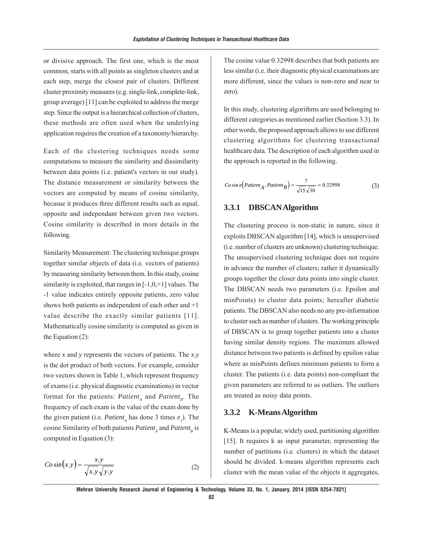or divisive approach. The first one, which is the most common, starts with all points as singleton clusters and at each step, merge the closest pair of clusters. Different cluster proximity measures (e.g. single-link, complete-link, group average) [11] can be exploited to address the merge step. Since the output is a hierarchical collection of clusters, these methods are often used when the underlying application requires the creation of a taxonomy/hierarchy.

Each of the clustering techniques needs some computations to measure the similarity and dissimilarity between data points (i.e. patient's vectors in our study). The distance measurement or similarity between the vectors are computed by means of cosine similarity, becasue it produces three different results such as equal, opposite and independant between given two vectors. Cosine similarity is described in more details in the following.

Similarity Measurement: The clustering technique groups together similar objects of data (i.e. vectors of patients) by measuring similarity between them. In this study, cosine similarity is exploited, that ranges in  $[-1,0,+1]$  values. The -1 value indicates entirely opposite patients, zero value shows both patients as independent of each other and +1 value describe the exactly similar patients [11]. Mathematically cosine similarity is computed as given in the Equation (2):

where *x* and *y* represents the vectors of patients. The *x*.*y* is the dot product of both vectors. For example, consider two vectors shown in Table 1, which represent frequency of exams (i.e. physical diagnostic examinations) in vector format for the patients: *Patient<sub>A</sub>* and *Patient<sub>B</sub>*. The frequency of each exam is the value of the exam done by the given patient (i.e. *Patient<sub>A</sub>* has done 3 times  $e_1$ ). The cosine Similarity of both patients *Patient*<sub>A</sub> and *Patient*<sub>R</sub> is computed in Equation (3):

$$
Co\sin\left(x,y\right) = \frac{x.y}{\sqrt{x.y}\sqrt{y.y}}
$$
\n(2)

The cosine value 0.32998 describes that both patients are less similar (i.e. their diagnostic physical examinations are more different, since the values is non-zero and near to zero).

In this study, clustering algorithms are used belonging to different categories as mentioned earlier (Section 3.3). In other words, the proposed approach allows to use different clustering algorithms for clustering transactional healthcare data. The description of each algorithm used in the approach is reported in the following.

$$
Cosin e(Patient_A, Patient_B) = \frac{7}{\sqrt{15}\sqrt{30}} = 0.32998
$$
 (3)

#### **3.3.1 DBSCAN Algorithm**

The clustering process is non-static in nature, since it exploits DBSCAN algorithm [14], which is unsupervised (i.e. number of clusters are unknown) clustering technique. The unsupervised clustering technique does not require in advance the number of clusters; rather it dynamically groups together the closer data points into single cluster. The DBSCAN needs two parameters (i.e. Epsilon and minPoints) to cluster data points; hereafter diabetic patients. The DBSCAN also needs no any pre-information to cluster such as number of clusters. The working principle of DBSCAN is to group together patients into a cluster having similar density regions. The maximum allowed distance between two patients is defined by epsilon value where as minPoints defines minimum patients to form a cluster. The patients (i.e. data points) non-compliant the given parameters are referred to as outliers. The outliers are treated as noisy data points.

#### **3.3.2 K-Means Algorithm**

K-Means is a popular, widely used, partitioning algorithm [15]. It requires k as input parameter, representing the number of partitions (i.e. clusters) in which the dataset should be divided. k-means algorithm represents each cluster with the mean value of the objects it aggregates,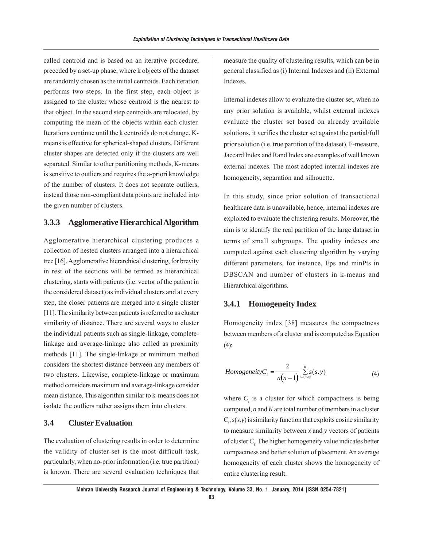called centroid and is based on an iterative procedure, preceded by a set-up phase, where k objects of the dataset are randomly chosen as the initial centroids. Each iteration performs two steps. In the first step, each object is assigned to the cluster whose centroid is the nearest to that object. In the second step centroids are relocated, by computing the mean of the objects within each cluster. Iterations continue until the k centroids do not change. Kmeans is effective for spherical-shaped clusters. Different cluster shapes are detected only if the clusters are well separated. Similar to other partitioning methods, K-means is sensitive to outliers and requires the a-priori knowledge of the number of clusters. It does not separate outliers, instead those non-compliant data points are included into the given number of clusters.

#### **3.3.3 Agglomerative Hierarchical Algorithm**

Agglomerative hierarchical clustering produces a collection of nested clusters arranged into a hierarchical tree [16]. Agglomerative hierarchical clustering, for brevity in rest of the sections will be termed as hierarchical clustering, starts with patients (i.e. vector of the patient in the considered dataset) as individual clusters and at every step, the closer patients are merged into a single cluster [11]. The similarity between patients is referred to as cluster similarity of distance. There are several ways to cluster the individual patients such as single-linkage, completelinkage and average-linkage also called as proximity methods [11]. The single-linkage or minimum method considers the shortest distance between any members of two clusters. Likewise, complete-linkage or maximum method considers maximum and average-linkage consider mean distance. This algorithm similar to k-means does not isolate the outliers rather assigns them into clusters.

## **3.4 Cluster Evaluation**

The evaluation of clustering results in order to determine the validity of cluster-set is the most difficult task, particularly, when no-prior information (i.e. true partition) is known. There are several evaluation techniques that measure the quality of clustering results, which can be in general classified as (i) Internal Indexes and (ii) External Indexes.

Internal indexes allow to evaluate the cluster set, when no any prior solution is available, whilst external indexes evaluate the cluster set based on already available solutions, it verifies the cluster set against the partial/full prior solution (i.e. true partition of the dataset). F-measure, Jaccard Index and Rand Index are examples of well known external indexes. The most adopted internal indexes are homogeneity, separation and silhouette.

In this study, since prior solution of transactional healthcare data is unavailable, hence, internal indexes are exploited to evaluate the clustering results. Moreover, the aim is to identify the real partition of the large dataset in terms of small subgroups. The quality indexes are computed against each clustering algorithm by varying different parameters, for instance, Eps and minPts in DBSCAN and number of clusters in k-means and Hierarchical algorithms.

## **3.4.1 Homogeneity Index**

Homogeneity index [38] measures the compactness between members of a cluster and is computed as Equation (4):

$$
HomogeneityC_i = \frac{2}{n(n-1)} \sum_{i=1, x \neq y}^{K} s(s, y)
$$
\n<sup>(4)</sup>

where  $C_i$  is a cluster for which compactness is being computed, *n* and *K* are total number of members in a cluster  $C_i$ ,  $s(x, y)$  is similarity function that exploits cosine similarity to measure similarity between *x* and *y* vectors of patients of cluster  $C_i$ . The higher homogeneity value indicates better compactness and better solution of placement. An average homogeneity of each cluster shows the homogeneity of entire clustering result.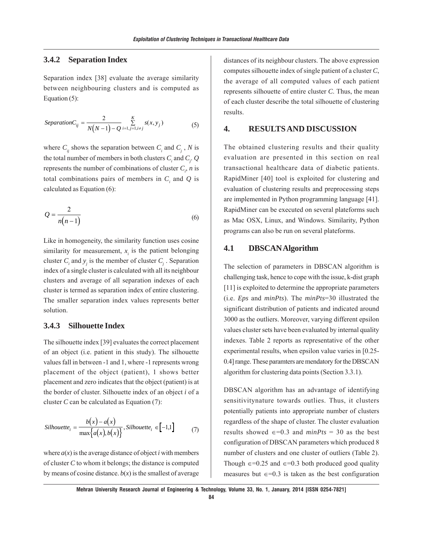#### **3.4.2 Separation Index**

Separation index [38] evaluate the average similarity between neighbouring clusters and is computed as Equation (5):

$$
SeparationC_{ij} = \frac{2}{N(N-1) - Q} \sum_{i=1, j=1, i \neq j}^{K} s(x, y_j)
$$
 (5)

where  $C_{ij}$  shows the separation between  $C_i$  and  $C_j$ , N is the total number of members in both clusters  $C_i$  and  $C_j$ .  $Q$ represents the number of combinations of cluster  $C_i$ , *n* is total combinations pairs of members in  $C_i$  and  $Q$  is calculated as Equation (6):

$$
Q = \frac{2}{n(n-1)}\tag{6}
$$

Like in homogeneity, the similarity function uses cosine similarity for measurement,  $x<sub>i</sub>$  is the patient belonging cluster  $C_i$  and  $y_j$  is the member of cluster  $C_j$ . Separation index of a single cluster is calculated with all its neighbour clusters and average of all separation indexes of each cluster is termed as separation index of entire clustering. The smaller separation index values represents better solution.

#### **3.4.3 Silhouette Index**

The silhouette index [39] evaluates the correct placement of an object (i.e. patient in this study). The silhouette values fall in between -1 and 1, where -1 represents wrong placement of the object (patient), 1 shows better placement and zero indicates that the object (patient) is at the border of cluster. Silhouette index of an object *i* of a cluster *C* can be calculated as Equation (7):

$$
Silhouette_i = \frac{b(x) - a(x)}{\max\{a(x), b(x)\}}, \text{Silhouette}_i \in [-1, 1] \tag{7}
$$

where  $a(x)$  is the average distance of object *i* with members of cluster *C* to whom it belongs; the distance is computed by means of cosine distance.  $b(x)$  is the smallest of average

distances of its neighbour clusters. The above expression computes silhouette index of single patient of a cluster *C*, the average of all computed values of each patient represents silhouette of entire cluster *C*. Thus, the mean of each cluster describe the total silhouette of clustering results.

#### **4. RESULTS AND DISCUSSION**

The obtained clustering results and their quality evaluation are presented in this section on real transactional healthcare data of diabetic patients. RapidMiner [40] tool is exploited for clustering and evaluation of clustering results and preprocessing steps are implemented in Python programming language [41]. RapidMiner can be executed on several plateforms such as Mac OSX, Linux, and Windows. Similarity, Python programs can also be run on several plateforms.

## **4.1 DBSCAN Algorithm**

The selection of parameters in DBSCAN algorithm is challenging task, hence to cope with the issue, k-dist graph [11] is exploited to determine the appropriate parameters (i.e. *Eps* and *minPts*). The *minPts*=30 illustrated the significant distribution of patients and indicated around 3000 as the outliers. Moreover, varying different epsilon values cluster sets have been evaluated by internal quality indexes. Table 2 reports as representative of the other experimental results, when epsilon value varies in [0.25- 0.4] range. These paramters are mendatory for the DBSCAN algorithm for clustering data points (Section 3.3.1).

DBSCAN algorithm has an advantage of identifying sensitivitynature towards outlies. Thus, it clusters potentially patients into appropriate number of clusters regardless of the shape of cluster. The cluster evaluation results showed  $\epsilon$ =0.3 and  $minPts = 30$  as the best configuration of DBSCAN parameters which produced 8 number of clusters and one cluster of outliers (Table 2). Though  $\epsilon$ =0.25 and  $\epsilon$ =0.3 both produced good quality measures but  $\epsilon$ =0.3 is taken as the best configuration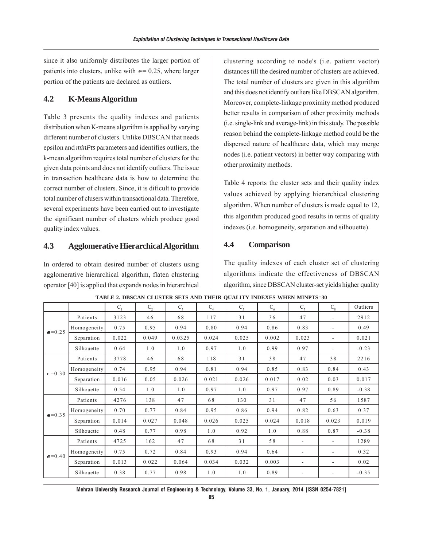since it also uniformly distributes the larger portion of patients into clusters, unlike with  $\epsilon$ = 0.25, where larger portion of the patients are declared as outliers.

## **4.2 K-Means Algorithm**

Table 3 presents the quality indexes and patients distribution when K-means algorithm is applied by varying different number of clusters. Unlike DBSCAN that needs epsilon and *minPts* parameters and identifies outliers, the k-mean algorithm requires total number of clusters for the given data points and does not identify outliers. The issue in transaction healthcare data is how to determine the correct number of clusters. Since, it is dificult to provide total number of clusers within transactional data. Therefore, several experiments have been carried out to investigate the significant number of clusters which produce good quality index values.

#### **4.3 Agglomerative Hierarchical Algorithm**

In ordered to obtain desired number of clusters using agglomerative hierarchical algorithm, flaten clustering operator [40] is applied that expands nodes in hierarchical

clustering according to node's (i.e. patient vector) distances till the desired number of clusters are achieved. The total number of clusters are given in this algorithm and this does not identify outliers like DBSCAN algorithm. Moreover, complete-linkage proximity method produced better results in comparison of other proximity methods (i.e. single-link and average-link) in this study. The possible reason behind the complete-linkage method could be the dispersed nature of healthcare data, which may merge nodes (i.e. patient vectors) in better way comparing with other proximity methods.

Table 4 reports the cluster sets and their quality index values achieved by applying hierarchical clustering algorithm. When number of clusters is made equal to 12, this algorithm produced good results in terms of quality indexes (i.e. homogeneity, separation and silhouette).

#### **4.4 Comparison**

The quality indexes of each cluster set of clustering algorithms indicate the effectiveness of DBSCAN algorithm, since DBSCAN cluster-set yields higher quality

|                   |             | $C_{1}$ | $C_{2}$ | $C_{3}$ | $C_{4}$ | $C_5$ | $C_6$ | $C_{7}$                  | $C_{8}$                  | Outliers |
|-------------------|-------------|---------|---------|---------|---------|-------|-------|--------------------------|--------------------------|----------|
|                   | Patients    | 3123    | 46      | 68      | 117     | 31    | 36    | 47                       | $\overline{\phantom{a}}$ | 2912     |
| $\epsilon = 0.25$ | Homogeneity | 0.75    | 0.95    | 0.94    | 0.80    | 0.94  | 0.86  | 0.83                     | $\sim$                   | 0.49     |
|                   | Separation  | 0.022   | 0.049   | 0.0325  | 0.024   | 0.025 | 0.002 | 0.023                    | ÷.                       | 0.021    |
|                   | Silhouette  | 0.64    | 1.0     | 1.0     | 0.97    | 1.0   | 0.99  | 0.97                     | $\overline{\phantom{0}}$ | $-0.23$  |
|                   | Patients    | 3778    | 46      | 68      | 118     | 31    | 38    | 47                       | 38                       | 2216     |
| $\epsilon = 0.30$ | Homogeneity | 0.74    | 0.95    | 0.94    | 0.81    | 0.94  | 0.85  | 0.83                     | 0.84                     | 0.43     |
|                   | Separation  | 0.016   | 0.05    | 0.026   | 0.021   | 0.026 | 0.017 | 0.02                     | 0.03                     | 0.017    |
|                   | Silhouette  | 0.54    | 1.0     | 1.0     | 0.97    | 1.0   | 0.97  | 0.97                     | 0.89                     | $-0.38$  |
|                   | Patients    | 4276    | 138     | 47      | 68      | 130   | 31    | 47                       | 56                       | 1587     |
| $\epsilon = 0.35$ | Homogeneity | 0.70    | 0.77    | 0.84    | 0.95    | 0.86  | 0.94  | 0.82                     | 0.63                     | 0.37     |
|                   | Separation  | 0.014   | 0.027   | 0.048   | 0.026   | 0.025 | 0.024 | 0.018                    | 0.023                    | 0.019    |
|                   | Silhouette  | 0.48    | 0.77    | 0.98    | 1.0     | 0.92  | 1.0   | 0.88                     | 0.87                     | $-0.38$  |
|                   | Patients    | 4725    | 162     | 47      | 68      | 31    | 58    |                          | ٠                        | 1289     |
| $=0.40$           | Homogeneity | 0.75    | 0.72    | 0.84    | 0.93    | 0.94  | 0.64  | $\overline{\phantom{a}}$ | $\overline{\phantom{a}}$ | 0.32     |
|                   | Separation  | 0.013   | 0.022   | 0.064   | 0.034   | 0.032 | 0.003 | $\overline{\phantom{a}}$ | $\sim$                   | 0.02     |
|                   | Silhouette  | 0.38    | 0.77    | 0.98    | 1.0     | 1.0   | 0.89  | $\overline{\phantom{a}}$ | $\overline{\phantom{a}}$ | $-0.35$  |

**TABLE 2. DBSCAN CLUSTER SETS AND THEIR QUALITY INDEXES WHEN MINPTS=30**

**85**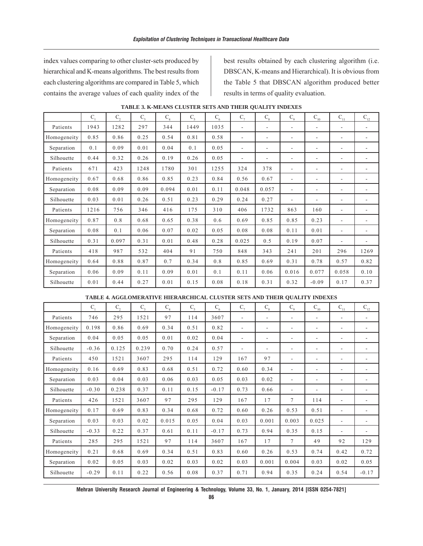index values comparing to other cluster-sets produced by hierarchical and K-means algorithms. The best results from each clustering algorithms are compared in Table 5, which contains the average values of each quality index of the

best results obtained by each clustering algorithm (i.e. DBSCAN, K-means and Hierarchical). It is obvious from the Table 5 that DBSCAN algorithm produced better results in terms of quality evaluation.

|             | $C_{1}$ | $C_{2}$ | $C_{3}$ | C <sub>4</sub> | $C_{5}$ | $\mathrm{C}_6$ | $C_{7}$                  | $C_{8}$ | $C_{\rm 9}$              | $C_{10}$ | $\mathbf{C}_{11}$        | $\mathrm{C}_{_{12}}$ |
|-------------|---------|---------|---------|----------------|---------|----------------|--------------------------|---------|--------------------------|----------|--------------------------|----------------------|
| Patients    | 1943    | 1282    | 297     | 344            | 1449    | 1035           | $\sim$                   | ٠       | $\overline{\phantom{a}}$ | ۰        | ٠                        | ٠                    |
| Homogeneity | 0.85    | 0.86    | 0.25    | 0.54           | 0.81    | 0.58           | $\sim$                   |         | $\overline{a}$           | ۰        | $\overline{\phantom{a}}$ | ۰.                   |
| Separation  | 0.1     | 0.09    | 0.01    | 0.04           | 0.1     | 0.05           | $\overline{\phantom{a}}$ |         | ۰                        |          | $\overline{a}$           |                      |
| Silhouette  | 0.44    | 0.32    | 0.26    | 0.19           | 0.26    | 0.05           | $\overline{\phantom{a}}$ |         | ٠                        | ٠        | $\overline{\phantom{m}}$ | ۰.                   |
| Patients    | 671     | 423     | 1248    | 1780           | 301     | 1255           | 324                      | 378     | $\overline{\phantom{a}}$ |          | $\overline{\phantom{a}}$ |                      |
| Homogeneity | 0.67    | 0.68    | 0.86    | 0.85           | 0.23    | 0.84           | 0.56                     | 0.67    |                          |          | ٠                        | ٠                    |
| Separation  | 0.08    | 0.09    | 0.09    | 0.094          | 0.01    | 0.11           | 0.048                    | 0.057   | $\overline{\phantom{a}}$ |          | ٠                        | ٠                    |
| Silhouette  | 0.03    | 0.01    | 0.26    | 0.51           | 0.23    | 0.29           | 0.24                     | 0.27    | ٠                        |          | ٠                        |                      |
| Patients    | 1216    | 756     | 346     | 416            | 175     | 310            | 406                      | 1732    | 863                      | 160      | $\overline{\phantom{a}}$ | Ξ.                   |
| Homogeneity | 0.87    | 0.8     | 0.68    | 0.65           | 0.38    | 0.6            | 0.69                     | 0.85    | 0.85                     | 0.23     | $\overline{\phantom{a}}$ | Ξ.                   |
| Separation  | 0.08    | 0.1     | 0.06    | 0.07           | 0.02    | 0.05           | 0.08                     | 0.08    | 0.11                     | 0.01     | $\overline{\phantom{a}}$ | ۰                    |
| Silhouette  | 0.31    | 0.097   | 0.31    | 0.01           | 0.48    | 0.28           | 0.025                    | 0.5     | 0.19                     | 0.07     | $\overline{\phantom{a}}$ | ٠                    |
| Patients    | 418     | 987     | 532     | 404            | 91      | 750            | 848                      | 343     | 241                      | 201      | 296                      | 1269                 |
| Homogeneity | 0.64    | 0.88    | 0.87    | 0.7            | 0.34    | 0.8            | 0.85                     | 0.69    | 0.31                     | 0.78     | 0.57                     | 0.82                 |
| Separation  | 0.06    | 0.09    | 0.11    | 0.09           | 0.01    | 0.1            | 0.11                     | 0.06    | 0.016                    | 0.077    | 0.058                    | 0.10                 |
| Silhouette  | 0.01    | 0.44    | 0.27    | 0.01           | 0.15    | 0.08           | 0.18                     | 0.31    | 0.32                     | $-0.09$  | 0.17                     | 0.37                 |

#### **TABLE 3. K-MEANS CLUSTER SETS AND THEIR QUALITY INDEXES**

**TABLE 4. AGGLOMERATIVE HIERARCHICAL CLUSTER SETS AND THEIR QUALITY INDEXES**

|             | $C_{1}$ | $C_{2}$ | $C_{\mathfrak{q}}$ | C <sub>4</sub> | $C_{5}$ | $C_6$   | $C_{7}$                  | $\mathrm{C}_8$ | $\mathrm{C}_\mathrm{o}$  | $\mathbf{C}_{\text{10}}$ | $C_{11}$                 | $C_{12}$                 |
|-------------|---------|---------|--------------------|----------------|---------|---------|--------------------------|----------------|--------------------------|--------------------------|--------------------------|--------------------------|
| Patients    | 746     | 295     | 1521               | 97             | 114     | 3607    | $\overline{\phantom{a}}$ | ۰              | ۰                        |                          | ۰                        |                          |
| Homogeneity | 0.198   | 0.86    | 0.69               | 0.34           | 0.51    | 0.82    | $\sim$                   | ۰              | ٠                        | ٠                        | $\overline{\phantom{a}}$ | $\overline{\phantom{a}}$ |
| Separation  | 0.04    | 0.05    | 0.05               | 0.01           | 0.02    | 0.04    | ٠                        |                | ٠                        |                          | $\overline{\phantom{a}}$ |                          |
| Silhouette  | $-0.36$ | 0.125   | 0.239              | 0.70           | 0.24    | 0.57    | $\overline{\phantom{a}}$ | ۰              | ۰                        |                          | $\overline{\phantom{a}}$ |                          |
| Patients    | 450     | 1521    | 3607               | 295            | 114     | 129     | 167                      | 97             | $\overline{\phantom{a}}$ |                          | $\overline{\phantom{a}}$ | ۰                        |
| Homogeneity | 0.16    | 0.69    | 0.83               | 0.68           | 0.51    | 0.72    | 0.60                     | 0.34           | ٠                        |                          | $\overline{\phantom{a}}$ |                          |
| Separation  | 0.03    | 0.04    | 0.03               | 0.06           | 0.03    | 0.05    | 0.03                     | 0.02           | ۰                        |                          | $\overline{\phantom{a}}$ |                          |
| Silhouette  | $-0.30$ | 0.238   | 0.37               | 0.11           | 0.15    | $-0.17$ | 0.73                     | 0.66           | ٠                        |                          | $\sim$                   |                          |
| Patients    | 426     | 1521    | 3607               | 97             | 295     | 129     | 167                      | 17             | $\tau$                   | 114                      | $\sim$                   |                          |
| Homogeneity | 0.17    | 0.69    | 0.83               | 0.34           | 0.68    | 0.72    | 0.60                     | 0.26           | 0.53                     | 0.51                     | $\overline{\phantom{a}}$ |                          |
| Separation  | 0.03    | 0.03    | 0.02               | 0.015          | 0.05    | 0.04    | 0.03                     | 0.001          | 0.003                    | 0.025                    | ٠                        |                          |
| Silhouette  | $-0.33$ | 0.22    | 0.37               | 0.61           | 0.11    | $-0.17$ | 0.73                     | 0.94           | 0.35                     | 0.15                     | $\sim$                   |                          |
| Patients    | 285     | 295     | 1521               | 97             | 114     | 3607    | 167                      | 17             | $\tau$                   | 49                       | 92                       | 129                      |
| Homogeneity | 0.21    | 0.68    | 0.69               | 0.34           | 0.51    | 0.83    | 0.60                     | 0.26           | 0.53                     | 0.74                     | 0.42                     | 0.72                     |
| Separation  | 0.02    | 0.05    | 0.03               | 0.02           | 0.03    | 0.02    | 0.03                     | 0.001          | 0.004                    | 0.03                     | 0.02                     | 0.05                     |
| Silhouette  | $-0.29$ | 0.11    | 0.22               | 0.56           | 0.08    | 0.37    | 0.71                     | 0.94           | 0.35                     | 0.24                     | 0.54                     | $-0.17$                  |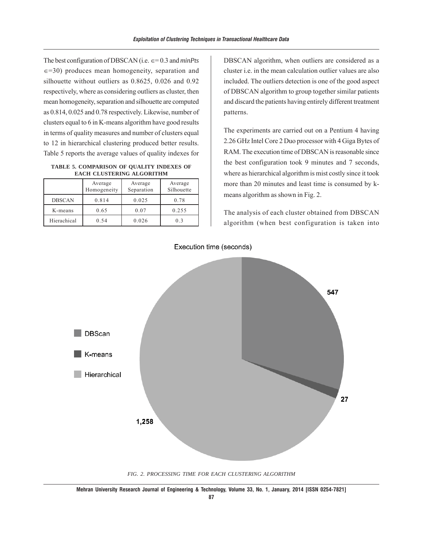The best configuration of DBSCAN (i.e. ∈= 0.3 and *minPts* ∈=30) produces mean homogeneity, separation and silhouette without outliers as 0.8625, 0.026 and 0.92 respectively, where as considering outliers as cluster, then mean homogeneity, separation and silhouette are computed as 0.814, 0.025 and 0.78 respectively. Likewise, number of clusters equal to 6 in K-means algorithm have good results in terms of quality measures and number of clusters equal to 12 in hierarchical clustering produced better results. Table 5 reports the average values of quality indexes for

**TABLE 5. COMPARISON OF QUALITY INDEXES OF EACH CLUSTERING ALGORITHM**

|               | Average<br>Homogeneity | Average<br>Separation | Average<br>Silhouette |
|---------------|------------------------|-----------------------|-----------------------|
| <b>DBSCAN</b> | 0.814                  | 0.025                 | 0.78                  |
| K-means       | 0.65                   | 0.07                  | 0.255                 |
| Hierachical   | 0.54                   | 0.026                 | 03                    |

DBSCAN algorithm, when outliers are considered as a cluster i.e. in the mean calculation outlier values are also included. The outliers detection is one of the good aspect of DBSCAN algorithm to group together similar patients and discard the patients having entirely different treatment patterns.

The experiments are carried out on a Pentium 4 having 2.26 GHz Intel Core 2 Duo processor with 4 Giga Bytes of RAM. The execution time of DBSCAN is reasonable since the best configuration took 9 minutes and 7 seconds, where as hierarchical algorithm is mist costly since it took more than 20 minutes and least time is consumed by kmeans algorithm as shown in Fig. 2.

The analysis of each cluster obtained from DBSCAN algorithm (when best configuration is taken into



Execution time (seconds)

*FIG. 2. PROCESSING TIME FOR EACH CLUSTERING ALGORITHM*

**Mehran University Research Journal of Engineering & Technology, Volume 33, No. 1, January, 2014 [ISSN 0254-7821]**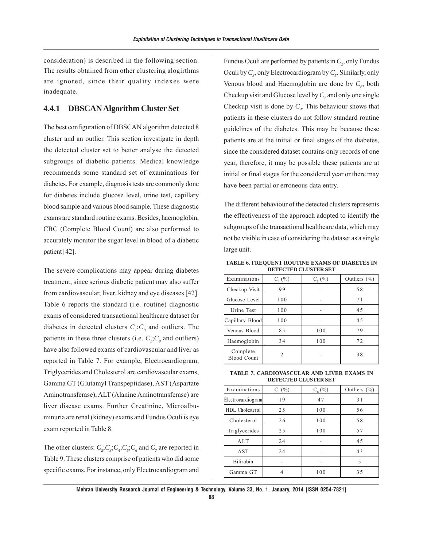consideration) is described in the following section. The results obtained from other clustering alogirthms are ignored, since their quality indexes were inadequate.

#### **4.4.1 DBSCAN Algorithm Cluster Set**

The best configuration of DBSCAN algorithm detected 8 cluster and an outlier. This section investigate in depth the detected cluster set to better analyse the detected subgroups of diabetic patients. Medical knowledge recommends some standard set of examinations for diabetes. For example, diagnosis tests are commonly done for diabetes include glucose level, urine test, capillary blood sample and vanous blood sample. These diagnostic exams are standard routine exams. Besides, haemoglobin, CBC (Complete Blood Count) are also performed to accurately monitor the sugar level in blood of a diabetic patient [42].

The severe complications may appear during diabetes treatment, since serious diabetic patient may also suffer from cardiovascular, liver, kidney and eye diseases [42]. Table 6 reports the standard (i.e. routine) diagnostic exams of considered transactional healthcare dataset for diabetes in detected clusters  $C_i$ ;  $C_8$  and outliers. The patients in these three clusters (i.e.  $C_i$ ;  $C_8$  and outliers) have also followed exams of cardiovascular and liver as reported in Table 7. For example, Electrocardiogram, Triglycerides and Cholesterol are cardiovascular exams, Gamma GT (Glutamyl Transpeptidase), AST (Aspartate Aminotransferase), ALT (Alanine Aminotransferase) are liver disease exams. Further Creatinine, Microalbuminuria are renal (kidney) exams and Fundus Oculi is eye exam reported in Table 8.

The other clusters:  $C_2$ ; $C_3$ ; $C_4$ ; $C_5$ ; $C_6$  and  $C_7$  are reported in Table 9. These clusters comprise of patients who did some specific exams. For instance, only Electrocardiogram and Fundus Oculi are performed by patients in  $C<sub>2</sub>$ , only Fundus Oculi by  $C<sub>3</sub>$ , only Electrocardiogram by  $C<sub>5</sub>$ . Similarly, only Venous blood and Haemoglobin are done by  $C_{\delta}$ , both Checkup visit and Glucose level by  $C_7$  and only one single Checkup visit is done by  $C_4$ . This behaviour shows that patients in these clusters do not follow standard routine guidelines of the diabetes. This may be because these patients are at the initial or final stages of the diabetes, since the considered dataset contains only records of one year, therefore, it may be possible these patients are at initial or final stages for the considered year or there may have been partial or erroneous data entry.

The different behaviour of the detected clusters represents the effectiveness of the approach adopted to identify the subgroups of the transactional healthcare data, which may not be visible in case of considering the dataset as a single large unit.

**TABLE 6. FREQUENT ROUTINE EXAMS OF DIABETES IN DETECTED CLUSTER SET**

| <b>Examinations</b>            | $C_{1}$ (%)    | $C_{8}$ (%) | Outliers $(\% )$ |  |
|--------------------------------|----------------|-------------|------------------|--|
| Checkup Visit                  | 99             |             | 58               |  |
| Glucose Level                  | 100            |             | 71               |  |
| Urine Test                     | 100            |             | 45               |  |
| Capillary Blood                | 100            |             | 45               |  |
| Venous Blood                   | 85             | 100         | 79               |  |
| Haemoglobin                    | 34             | 100         | 72               |  |
| Complete<br><b>Blood Count</b> | $\mathfrak{D}$ |             | 38               |  |

**TABLE 7. CARDIOVASCULAR AND LIVER EXAMS IN DETECTED CLUSTER SET**

| Examinations      | $C_1({\%})$ | $C_{8}$ (%) | Outliers $(\% )$ |
|-------------------|-------------|-------------|------------------|
| Electrocardiogram | 19          | 47          | 31               |
| HDL Cholesterol   | 25          | 100         | 56               |
| Cholesterol       | 26          | 100         | 58               |
| Triglycerides     | 25          | 100         | 57               |
| ALT               | 24          |             | 45               |
| <b>AST</b>        | 24          |             | 43               |
| <b>Bilirubin</b>  |             |             | 5                |
| Gamma GT          |             | 100         | 35               |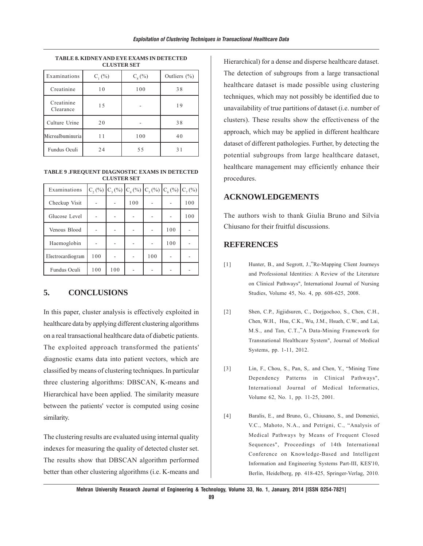| Examinations            | $C_1$ (%) | $C_{8}$ (%) | Outliers (%) |  |  |  |  |
|-------------------------|-----------|-------------|--------------|--|--|--|--|
| Creatinine              | 10        | 100         | 38           |  |  |  |  |
| Creatinine<br>Clearance | 15        |             | 19           |  |  |  |  |
| Culture Urine           | 20        |             | 38           |  |  |  |  |
| Microalbuminuria        |           | 100         | 40           |  |  |  |  |
| Fundus Oculi            | 24        | 55          | 31           |  |  |  |  |

**TABLE 8. KIDNEY AND EYE EXAMS IN DETECTED CLUSTER SET**

#### **TABLE 9 .FREQUENT DIAGNOSTIC EXAMS IN DETECTED CLUSTER SET**

| Examinations      | $C_2(\%) C_3(\%) C_4(\%) C_5(\%) C_5(\%) C_6(\%) C_7(\%)$ |     |     |     |     |     |
|-------------------|-----------------------------------------------------------|-----|-----|-----|-----|-----|
| Checkup Visit     |                                                           |     | 100 |     |     | 100 |
| Glucose Level     |                                                           |     |     |     |     | 100 |
| Venous Blood      |                                                           |     |     |     | 100 |     |
| Haemoglobin       |                                                           |     |     |     | 100 |     |
| Electrocardiogram | 100                                                       |     |     | 100 |     |     |
| Fundus Oculi      | 100                                                       | 100 |     |     |     |     |

## **5. CONCLUSIONS**

In this paper, cluster analysis is effectively exploited in healthcare data by applying different clustering algorithms on a real transactional healthcare data of diabetic patients. The exploited approach transformed the patients' diagnostic exams data into patient vectors, which are classified by means of clustering techniques. In particular three clustering algorithms: DBSCAN, K-means and Hierarchical have been applied. The similarity measure between the patients' vector is computed using cosine similarity.

The clustering results are evaluated using internal quality indexes for measuring the quality of detected cluster set. The results show that DBSCAN algorithm performed better than other clustering algorithms (i.e. K-means and Hierarchical) for a dense and disperse healthcare dataset. The detection of subgroups from a large transactional healthcare dataset is made possible using clustering techniques, which may not possibly be identified due to unavailability of true partitions of dataset (i.e. number of clusters). These results show the effectiveness of the approach, which may be applied in different healthcare dataset of different pathologies. Further, by detecting the potential subgroups from large healthcare dataset, healthcare management may efficiently enhance their procedures.

## **ACKNOWLEDGEMENTS**

The authors wish to thank Giulia Bruno and Silvia Chiusano for their fruitful discussions.

## **REFERENCES**

- [1] Hunter, B., and Segrott, J.,"Re-Mapping Client Journeys and Professional Identities: A Review of the Literature on Clinical Pathways", International Journal of Nursing Studies, Volume 45, No. 4, pp. 608-625, 2008.
- [2] Shen, C.P., Jigjidsuren, C., Dorjgochoo, S., Chen, C.H., Chen, W.H., Hsu, C.K., Wu, J.M., Hsueh, C.W., and Lai, M.S., and Tan, C.T.,"A Data-Mining Framework for Transnational Healthcare System", Journal of Medical Systems, pp. 1-11, 2012.
- [3] Lin, F., Chou, S., Pan, S,. and Chen, Y., "Mining Time Dependency Patterns in Clinical Pathways", International Journal of Medical Informatics, Volume 62, No. 1, pp. 11-25, 2001.
- [4] Baralis, E., and Bruno, G., Chiusano, S., and Domenici, V.C., Mahoto, N.A., and Petrigni, C., "Analysis of Medical Pathways by Means of Frequent Closed Sequences", Proceedings of 14th International Conference on Knowledge-Based and Intelligent Information and Engineering Systems Part-III, KES'10, Berlin, Heidelberg, pp. 418-425, Springer-Verlag, 2010.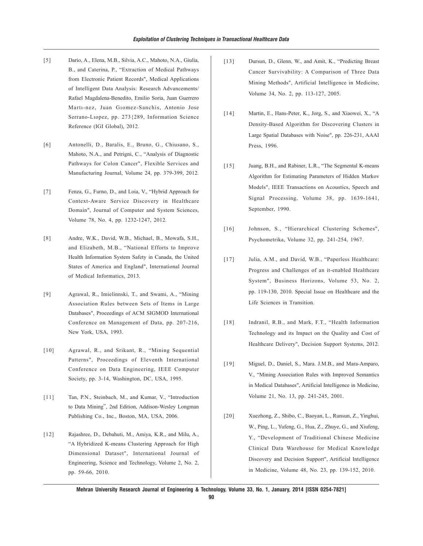- [5] Dario, A., Elena, M.B., Silvia, A.C., Mahoto, N.A., Giulia, B., and Caterina, P., "Extraction of Medical Pathways from Electronic Patient Records", Medical Applications of Intelligent Data Analysis: Research Advancements/ Rafael Magdalena-Benedito, Emilio Soria, Juan Guerrero Marti-nez, Juan Giomez-Sanchis, Antonio Jose Serrano-Liopez, pp. 273{289, Information Science Reference (IGI Global), 2012.
- [6] Antonelli, D., Baralis, E., Bruno, G., Chiusano, S., Mahoto, N.A., and Petrigni, C., "Analysis of Diagnostic Pathways for Colon Cancer", Flexible Services and Manufacturing Journal, Volume 24, pp. 379-399, 2012.
- [7] Fenza, G., Furno, D., and Loia, V., "Hybrid Approach for Context-Aware Service Discovery in Healthcare Domain", Journal of Computer and System Sciences, Volume 78, No. 4, pp. 1232-1247, 2012.
- [8] Andre, W.K., David, W.B., Michael, B., Mowafa, S.H., and Elizabeth, M.B., "National Efforts to Improve Health Information System Safety in Canada, the United States of America and England", International Journal of Medical Informatics, 2013.
- [9] Agrawal, R., Imielinnski, T., and Swami, A., "Mining Association Rules between Sets of Items in Large Databases", Proceedings of ACM SIGMOD International Conference on Management of Data, pp. 207-216, New York, USA, 1993.
- [10] Agrawal, R., and Srikant, R., "Mining Sequential Patterns", Proceedings of Eleventh International Conference on Data Engineering, IEEE Computer Society, pp. 3-14, Washington, DC, USA, 1995.
- [11] Tan, P.N., Steinbach, M., and Kumar, V., "Introduction to Data Mining", 2nd Edition, Addison-Wesley Longman Publishing Co., Inc., Boston, MA, USA, 2006.
- [12] Rajashree, D., Debahuti, M., Amiya, K.R., and Milu, A., "A Hybridized K-means Clustering Approach for High Dimensional Dataset", International Journal of Engineering, Science and Technology, Volume 2, No. 2, pp. 59-66, 2010.
- [13] Dursun, D., Glenn, W., and Amit, K., "Predicting Breast Cancer Survivability: A Comparison of Three Data Mining Methods", Artificial Intelligence in Medicine, Volume 34, No. 2, pp. 113-127, 2005.
- [14] Martin, E., Hans-Peter, K., Jorg, S., and Xiaowei, X., "A Density-Based Algorithm for Discovering Clusters in Large Spatial Databases with Noise", pp. 226-231, AAAI Press, 1996.
- [15] Juang, B.H., and Rabiner, L.R., "The Segmental K-means Algorithm for Estimating Parameters of Hidden Markov Models", IEEE Transactions on Acoustics, Speech and Signal Processing, Volume 38, pp. 1639-1641, September, 1990.
- [16] Johnson, S., "Hierarchical Clustering Schemes", Psychometrika, Volume 32, pp. 241-254, 1967.
- [17] Julia, A.M., and David, W.B., "Paperless Healthcare: Progress and Challenges of an it-enabled Healthcare System", Business Horizons, Volume 53, No. 2, pp. 119-130, 2010. Special Issue on Healthcare and the Life Sciences in Transition.
- [18] Indranil, R.B., and Mark, F.T., "Health Information Technology and its Impact on the Quality and Cost of Healthcare Delivery", Decision Support Systems, 2012.
- [19] Miguel, D., Daniel, S., Mara. J.M.B., and Mara-Amparo, V., "Mining Association Rules with Improved Semantics in Medical Databases", Artificial Intelligence in Medicine, Volume 21, No. 13, pp. 241-245, 2001.
- [20] Xuezhong, Z., Shibo, C., Baoyan, L., Runsun, Z., Yinghui, W., Ping, L., Yufeng, G., Hua, Z., Zhuye, G., and Xiufeng, Y., "Development of Traditional Chinese Medicine Clinical Data Warehouse for Medical Knowledge Discovery and Decision Support", Artificial Intelligence in Medicine, Volume 48, No. 23, pp. 139-152, 2010.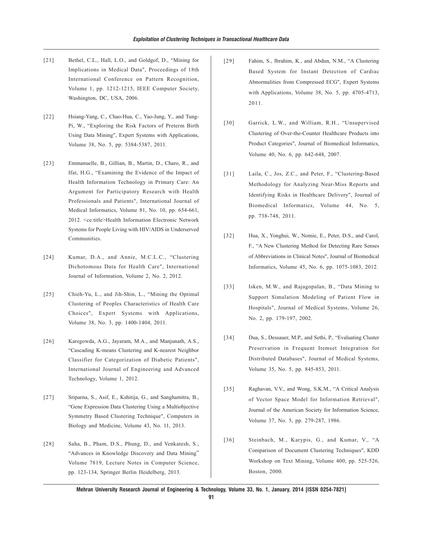- [21] Bethel, C.L., Hall, L.O., and Goldgof, D., "Mining for Implications in Medical Data", Proceedings of 18th International Conference on Pattern Recognition, Volume 1, pp. 1212-1215, IEEE Computer Society, Washington, DC, USA, 2006.
- [22] Hsiang-Yang, C., Chao-Hua, C., Yao-Jung, Y., and Tung-Pi, W., "Exploring the Risk Factors of Preterm Birth Using Data Mining", Expert Systems with Applications, Volume 38, No. 5, pp. 5384-5387, 2011.
- [23] Emmanuelle, B., Gillian, B., Martin, D., Charo, R., and Ifat, H.G., "Examining the Evidence of the Impact of Health Information Technology in Primary Care: An Argument for Participatory Research with Health Professionals and Patients", International Journal of Medical Informatics, Volume 81, No. 10, pp. 654-661, 2012. <ce:title>Health Information Electronic Network Systems for People Living with HIV/AIDS in Underserved Communities.
- [24] Kumar, D.A., and Annie, M.C.L.C., "Clustering Dichotomous Data for Health Care", International Journal of Information, Volume 2, No. 2, 2012.
- [25] Chieh-Yu, L., and Jih-Shin, L., "Mining the Optimal Clustering of Peoples Characteristics of Health Care Choices", Expert Systems with Applications, Volume 38, No. 3, pp. 1400-1404, 2011.
- [26] Karegowda, A.G., Jayaram, M.A., and Manjunath, A.S., "Cascading K-means Clustering and K-nearest Neighbor Classifier for Categorization of Diabetic Patients", International Journal of Engineering and Advanced Technology, Volume 1, 2012.
- [27] Sriparna, S., Asif, E., Kshitija, G., and Sanghamitra, B., "Gene Expression Data Clustering Using a Multiobjective Symmetry Based Clustering Technique", Computers in Biology and Medicine, Volume 43, No. 11, 2013.
- [28] Saha, B., Pham, D.S., Phung, D., and Venkatesh, S., "Advances in Knowledge Discovery and Data Mining" Volume 7819, Lecture Notes in Computer Science, pp. 123-134, Springer Berlin Heidelberg, 2013.
- [29] Fahim, S., Ibrahim, K., and Abdun, N.M., "A Clustering Based System for Instant Detection of Cardiac Abnormalities from Compressed ECG", Expert Systems with Applications, Volume 38, No. 5, pp. 4705-4713, 2011.
- [30] Garrick, L.W., and William, R.H., "Unsupervised Clustering of Over-the-Counter Healthcare Products into Product Categories", Journal of Biomedical Informatics, Volume 40, No. 6, pp. 642-648, 2007.
- [31] Laila, C., Jos, Z.C., and Peter, F., "Clustering-Based Methodology for Analyzing Near-Miss Reports and Identifying Risks in Healthcare Delivery", Journal of Biomedical Informatics, Volume 44, No. 5, pp. 738-748, 2011.
- [32] Hua, X., Yonghui, W., Nomie, E., Peter, D.S., and Carol, F., "A New Clustering Method for Detecting Rare Senses of Abbreviations in Clinical Notes", Journal of Biomedical Informatics, Volume 45, No. 6, pp. 1075-1083, 2012.
- [33] Isken, M.W., and Rajagopalan, B., "Data Mining to Support Simulation Modeling of Patient Flow in Hospitals", Journal of Medical Systems, Volume 26, No. 2, pp. 179-197, 2002.
- [34] Dua, S., Dessauer, M.P., and Sethi, P., "Evaluating Cluster Preservation in Frequent Itemset Integration for Distributed Databases", Journal of Medical Systems, Volume 35, No. 5, pp. 845-853, 2011.
- [35] Raghavan, V.V., and Wong, S.K.M., "A Critical Analysis of Vector Space Model for Information Retrieval", Journal of the American Society for Information Science, Volume 37, No. 5, pp. 279-287, 1986.
- [36] Steinbach, M., Karypis, G., and Kumar, V., "A Comparison of Document Clustering Techniques", KDD Workshop on Text Mining, Volume 400, pp. 525-526, Boston, 2000.